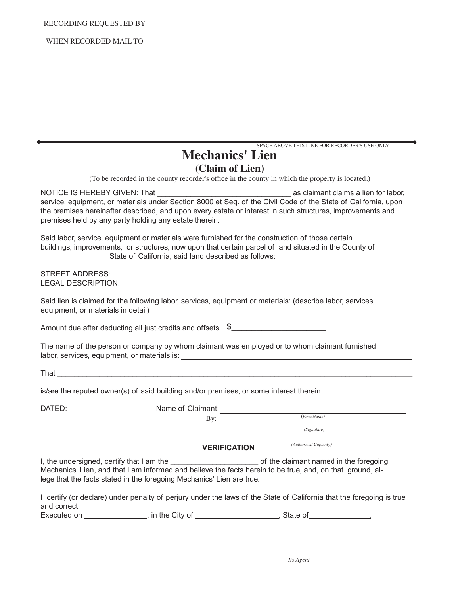RECORDING REQUESTED BY

WHEN RECORDED MAIL TO

SPACE ABOVE THIS LINE FOR RECORDER'S USE ONLY

## **Mechanics' Lien (Claim of Lien)**

(To be recorded in the county recorder's office in the county in which the property is located.)

NOTICE IS HEREBY GIVEN: That **Example 20 as claimant claims a lien for labor**, service, equipment, or materials under Section 8000 et Seq. of the Civil Code of the State of California, upon the premises hereinafter described, and upon every estate or interest in such structures, improvements and premises held by any party holding any estate therein.

Said labor, service, equipment or materials were furnished for the construction of those certain buildings, improvements, or structures, now upon that certain parcel of land situated in the County of State of California, said land described as follows:

STREET ADDRESS: LEGAL DESCRIPTION:

Said lien is claimed for the following labor, services, equipment or materials: (describe labor, services, equipment, or materials in detail) equipment of the state of the state of the state of the state of the state of the state of the state of the state of the state of the state of the state of the state of the state of the s

Amount due after deducting all just credits and offsets...\$\_\_\_\_\_\_\_\_\_\_\_\_\_\_\_\_\_\_\_\_\_

The name of the person or company by whom claimant was employed or to whom claimant furnished labor, services, equipment, or materials is:

That \_\_\_\_\_\_\_\_\_\_\_\_\_\_\_\_\_\_\_\_\_\_\_\_\_\_\_\_\_\_\_\_\_\_\_\_\_\_\_\_\_\_\_\_\_\_\_\_\_\_\_\_\_\_\_\_\_\_\_\_\_\_\_\_\_\_\_\_\_\_\_\_\_\_\_\_\_\_\_\_\_\_\_\_\_

\_\_\_\_\_\_\_\_\_\_\_\_\_\_\_\_\_\_\_\_\_\_\_\_\_\_\_\_\_\_\_\_\_\_\_\_\_\_\_\_\_\_\_\_\_\_\_\_\_\_\_\_\_\_\_\_\_\_\_\_\_\_\_\_\_\_\_\_\_\_\_\_\_\_\_\_\_\_\_\_\_\_\_\_\_\_\_\_\_ is/are the reputed owner(s) of said building and/or premises, or some interest therein.

DATED: \_\_\_\_\_\_\_\_\_\_\_\_\_\_\_\_\_\_\_ Name of Claimant:

By:

(*Firm Name) (Signature)*

**VERIFICATION**

*(Authorized Capacity)*

I, the undersigned, certify that I am the \_\_\_\_\_\_\_\_\_\_\_\_\_\_\_\_\_\_\_\_\_ of the claimant named in the foregoing Mechanics' Lien, and that I am informed and believe the facts herein to be true, and, on that ground, allege that the facts stated in the foregoing Mechanics' Lien are true.

|              | I certify (or declare) under penalty of perjury under the laws of the State of California that the foregoing is true |             |  |
|--------------|----------------------------------------------------------------------------------------------------------------------|-------------|--|
| and correct. |                                                                                                                      |             |  |
| Evocutod on  | in the $C$ ity of                                                                                                    | $Cfonto$ of |  |

Executed on \_\_\_\_\_\_\_\_\_\_\_\_\_\_\_\_, in the City of \_\_\_\_\_\_\_\_\_\_\_\_\_\_\_\_\_\_\_\_, State of\_\_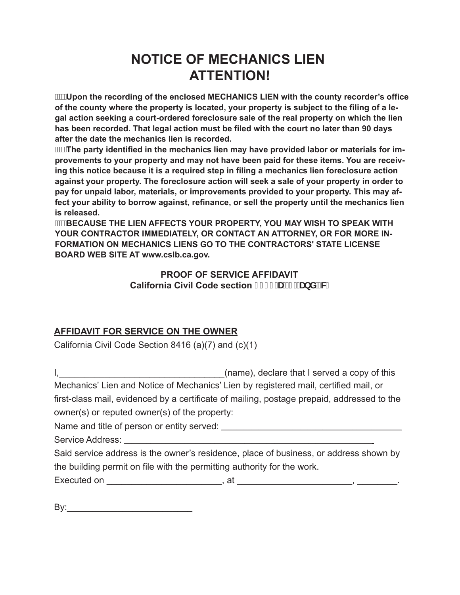# **NOTICE OF MECHANICS LIEN ATTENTION!**

**Upon the recording of the enclosed MECHANICS LIEN with the county recorder's office of the county where the property is located, your property is subject to the filing of a legal action seeking a court-ordered foreclosure sale of the real property on which the lien has been recorded. That legal action must be filed with the court no later than 90 days after the date the mechanics lien is recorded.** 

**The party identified in the mechanics lien may have provided labor or materials for improvements to your property and may not have been paid for these items. You are receiving this notice because it is a required step in filing a mechanics lien foreclosure action against your property. The foreclosure action will seek a sale of your property in order to pay for unpaid labor, materials, or improvements provided to your property. This may affect your ability to borrow against, refinance, or sell the property until the mechanics lien is released.** 

**BECAUSE THE LIEN AFFECTS YOUR PROPERTY, YOU MAY WISH TO SPEAK WITH YOUR CONTRACTOR IMMEDIATELY, OR CONTACT AN ATTORNEY, OR FOR MORE IN-FORMATION ON MECHANICS LIENS GO TO THE CONTRACTORS' STATE LICENSE BOARD WEB SITE AT www.cslb.ca.gov.**

> **PROOF OF SERVICE AFFIDAVIT California Civil Code section, (% fllfi+L'UbX'fWL**

#### **AFFIDAVIT FOR SERVICE ON THE OWNER**

California Civil Code Section 8416 (a)(7) and (c)(1)

I, I, the same of the same of the same of the served a copy of this interval and  $I$  served a copy of this Mechanics' Lien and Notice of Mechanics' Lien by registered mail, certified mail, or first-class mail, evidenced by a certificate of mailing, postage prepaid, addressed to the owner(s) or reputed owner(s) of the property: Name and title of person or entity served: **we are all that the set of person or entity served**: Service Address: Said service address is the owner's residence, place of business, or address shown by

the building permit on file with the permitting authority for the work.

Executed on \_\_\_\_\_\_\_\_\_\_\_\_\_\_\_\_\_\_\_\_\_\_\_, at \_\_\_\_\_\_\_\_\_\_\_\_\_\_\_\_\_\_\_\_\_\_\_, \_\_\_\_\_\_\_\_.

| н<br>e.      |  |
|--------------|--|
| .,<br>w<br>× |  |
|              |  |

By:\_\_\_\_\_\_\_\_\_\_\_\_\_\_\_\_\_\_\_\_\_\_\_\_\_